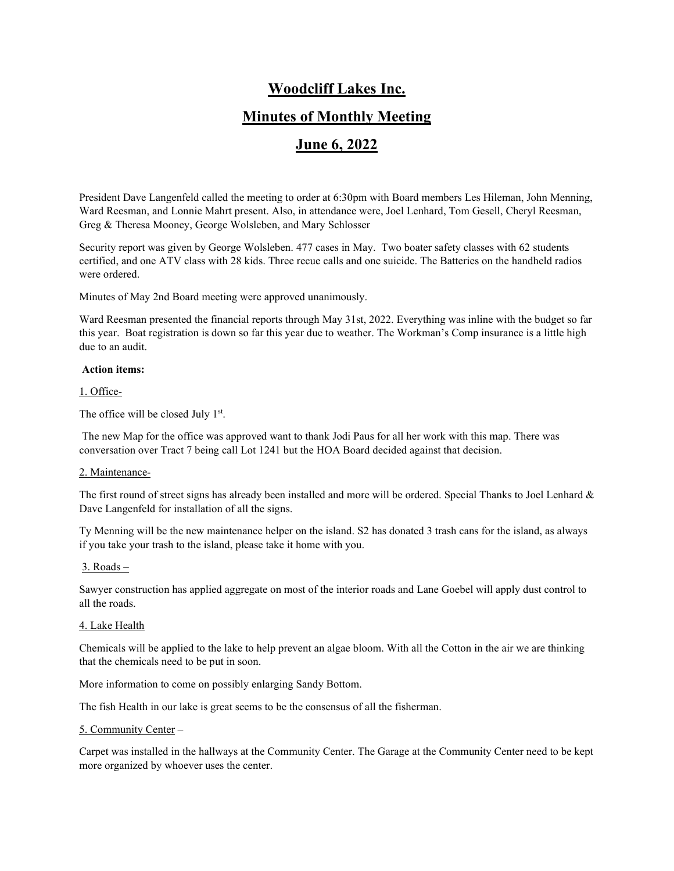# **Woodcliff Lakes Inc.**

# **Minutes of Monthly Meeting**

# **June 6, 2022**

President Dave Langenfeld called the meeting to order at 6:30pm with Board members Les Hileman, John Menning, Ward Reesman, and Lonnie Mahrt present. Also, in attendance were, Joel Lenhard, Tom Gesell, Cheryl Reesman, Greg & Theresa Mooney, George Wolsleben, and Mary Schlosser

Security report was given by George Wolsleben. 477 cases in May. Two boater safety classes with 62 students certified, and one ATV class with 28 kids. Three recue calls and one suicide. The Batteries on the handheld radios were ordered.

Minutes of May 2nd Board meeting were approved unanimously.

Ward Reesman presented the financial reports through May 31st, 2022. Everything was inline with the budget so far this year. Boat registration is down so far this year due to weather. The Workman's Comp insurance is a little high due to an audit.

#### **Action items:**

1. Office-

The office will be closed July 1<sup>st</sup>.

The new Map for the office was approved want to thank Jodi Paus for all her work with this map. There was conversation over Tract 7 being call Lot 1241 but the HOA Board decided against that decision.

#### 2. Maintenance-

The first round of street signs has already been installed and more will be ordered. Special Thanks to Joel Lenhard & Dave Langenfeld for installation of all the signs.

Ty Menning will be the new maintenance helper on the island. S2 has donated 3 trash cans for the island, as always if you take your trash to the island, please take it home with you.

### 3. Roads –

Sawyer construction has applied aggregate on most of the interior roads and Lane Goebel will apply dust control to all the roads.

#### 4. Lake Health

Chemicals will be applied to the lake to help prevent an algae bloom. With all the Cotton in the air we are thinking that the chemicals need to be put in soon.

More information to come on possibly enlarging Sandy Bottom.

The fish Health in our lake is great seems to be the consensus of all the fisherman.

#### 5. Community Center –

Carpet was installed in the hallways at the Community Center. The Garage at the Community Center need to be kept more organized by whoever uses the center.